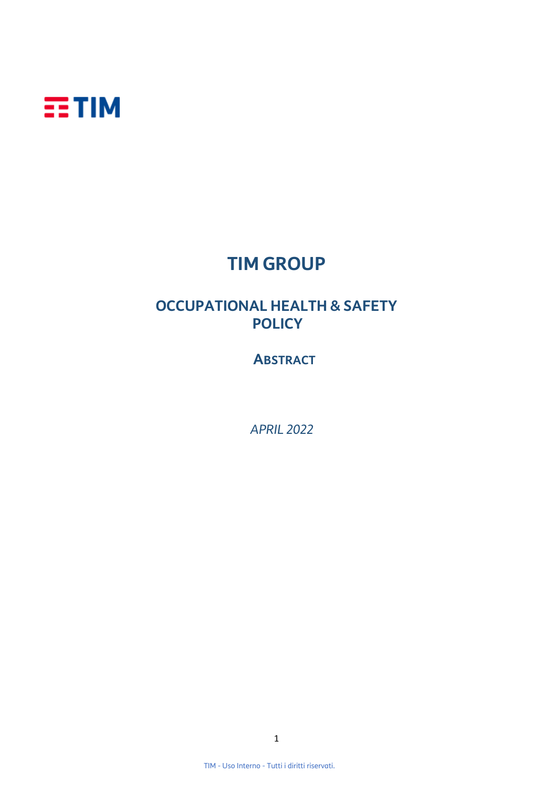

## **TIM GROUP**

## **OCCUPATIONAL HEALTH & SAFETY POLICY**

 **ABSTRACT**

 *APRIL 2022*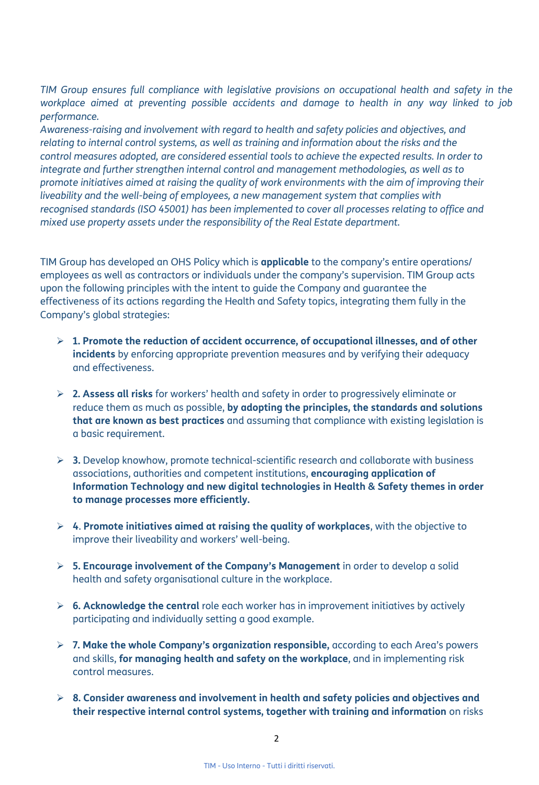*TIM Group ensures full compliance with legislative provisions on occupational health and safety in the workplace aimed at preventing possible accidents and damage to health in any way linked to job performance.* 

*Awareness-raising and involvement with regard to health and safety policies and objectives, and relating to internal control systems, as well as training and information about the risks and the control measures adopted, are considered essential tools to achieve the expected results. In order to integrate and further strengthen internal control and management methodologies, as well as to promote initiatives aimed at raising the quality of work environments with the aim of improving their liveability and the well-being of employees, a new management system that complies with recognised standards (ISO 45001) has been implemented to cover all processes relating to office and mixed use property assets under the responsibility of the Real Estate department.*

TIM Group has developed an OHS Policy which is **applicable** to the company's entire operations/ employees as well as contractors or individuals under the company's supervision. TIM Group acts upon the following principles with the intent to guide the Company and guarantee the effectiveness of its actions regarding the Health and Safety topics, integrating them fully in the Company's global strategies:

- ➢ **1. Promote the reduction of accident occurrence, of occupational illnesses, and of other incidents** by enforcing appropriate prevention measures and by verifying their adequacy and effectiveness.
- ➢ **2. Assess all risks** for workers' health and safety in order to progressively eliminate or reduce them as much as possible, **by adopting the principles, the standards and solutions that are known as best practices** and assuming that compliance with existing legislation is a basic requirement.
- ➢ **3.** Develop knowhow, promote technical-scientific research and collaborate with business associations, authorities and competent institutions, **encouraging application of Information Technology and new digital technologies in Health & Safety themes in order to manage processes more efficiently.**
- ➢ **4**. **Promote initiatives aimed at raising the quality of workplaces**, with the objective to improve their liveability and workers' well-being.
- ➢ **5. Encourage involvement of the Company's Management** in order to develop a solid health and safety organisational culture in the workplace.
- ➢ **6. Acknowledge the central** role each worker has in improvement initiatives by actively participating and individually setting a good example.
- ➢ **7. Make the whole Company's organization responsible,** according to each Area's powers and skills, **for managing health and safety on the workplace**, and in implementing risk control measures.
- ➢ **8. Consider awareness and involvement in health and safety policies and objectives and their respective internal control systems, together with training and information** on risks